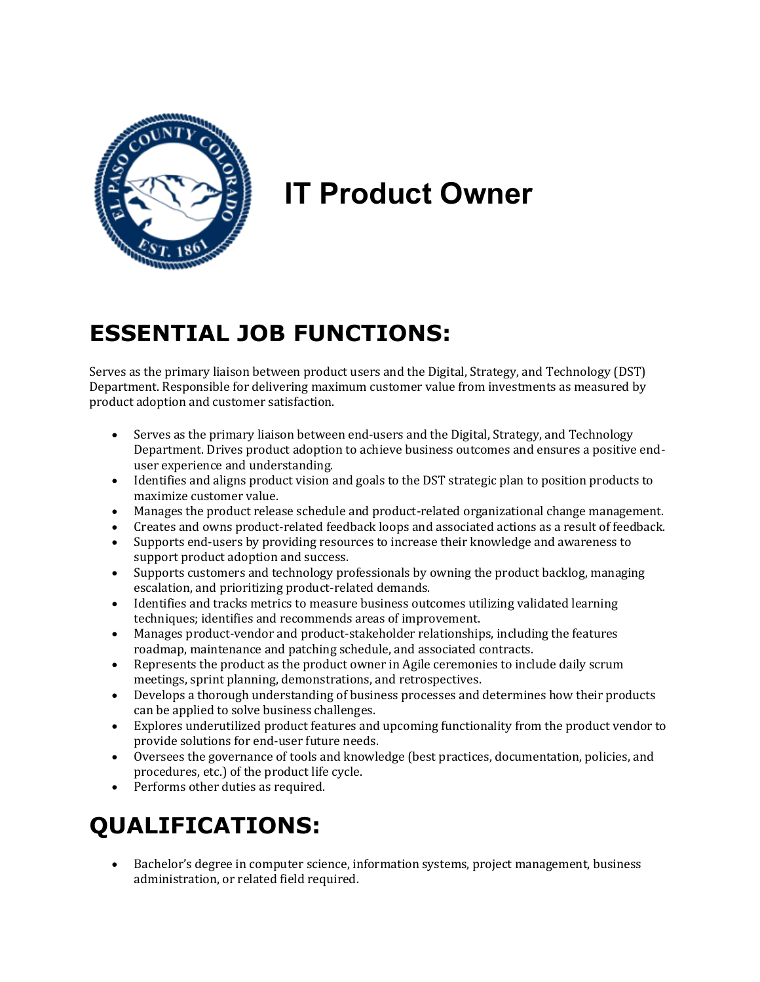

# **IT Product Owner**

## **ESSENTIAL JOB FUNCTIONS:**

Serves as the primary liaison between product users and the Digital, Strategy, and Technology (DST) Department. Responsible for delivering maximum customer value from investments as measured by product adoption and customer satisfaction.

- Serves as the primary liaison between end-users and the Digital, Strategy, and Technology Department. Drives product adoption to achieve business outcomes and ensures a positive enduser experience and understanding.
- Identifies and aligns product vision and goals to the DST strategic plan to position products to maximize customer value.
- Manages the product release schedule and product-related organizational change management.
- Creates and owns product-related feedback loops and associated actions as a result of feedback.
- Supports end-users by providing resources to increase their knowledge and awareness to support product adoption and success.
- Supports customers and technology professionals by owning the product backlog, managing escalation, and prioritizing product-related demands.
- Identifies and tracks metrics to measure business outcomes utilizing validated learning techniques; identifies and recommends areas of improvement.
- Manages product-vendor and product-stakeholder relationships, including the features roadmap, maintenance and patching schedule, and associated contracts.
- Represents the product as the product owner in Agile ceremonies to include daily scrum meetings, sprint planning, demonstrations, and retrospectives.
- Develops a thorough understanding of business processes and determines how their products can be applied to solve business challenges.
- Explores underutilized product features and upcoming functionality from the product vendor to provide solutions for end-user future needs.
- Oversees the governance of tools and knowledge (best practices, documentation, policies, and procedures, etc.) of the product life cycle.
- Performs other duties as required.

## **QUALIFICATIONS:**

• Bachelor's degree in computer science, information systems, project management, business administration, or related field required.